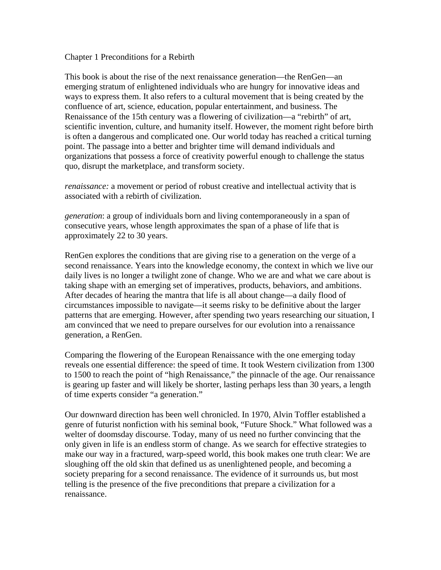#### Chapter 1 Preconditions for a Rebirth

This book is about the rise of the next renaissance generation—the RenGen—an emerging stratum of enlightened individuals who are hungry for innovative ideas and ways to express them. It also refers to a cultural movement that is being created by the confluence of art, science, education, popular entertainment, and business. The Renaissance of the 15th century was a flowering of civilization—a "rebirth" of art, scientific invention, culture, and humanity itself. However, the moment right before birth is often a dangerous and complicated one. Our world today has reached a critical turning point. The passage into a better and brighter time will demand individuals and organizations that possess a force of creativity powerful enough to challenge the status quo, disrupt the marketplace, and transform society.

*renaissance:* a movement or period of robust creative and intellectual activity that is associated with a rebirth of civilization.

*generation*: a group of individuals born and living contemporaneously in a span of consecutive years, whose length approximates the span of a phase of life that is approximately 22 to 30 years.

RenGen explores the conditions that are giving rise to a generation on the verge of a second renaissance. Years into the knowledge economy, the context in which we live our daily lives is no longer a twilight zone of change. Who we are and what we care about is taking shape with an emerging set of imperatives, products, behaviors, and ambitions. After decades of hearing the mantra that life is all about change—a daily flood of circumstances impossible to navigate—it seems risky to be definitive about the larger patterns that are emerging. However, after spending two years researching our situation, I am convinced that we need to prepare ourselves for our evolution into a renaissance generation, a RenGen.

Comparing the flowering of the European Renaissance with the one emerging today reveals one essential difference: the speed of time. It took Western civilization from 1300 to 1500 to reach the point of "high Renaissance," the pinnacle of the age. Our renaissance is gearing up faster and will likely be shorter, lasting perhaps less than 30 years, a length of time experts consider "a generation."

Our downward direction has been well chronicled. In 1970, Alvin Toffler established a genre of futurist nonfiction with his seminal book, "Future Shock." What followed was a welter of doomsday discourse. Today, many of us need no further convincing that the only given in life is an endless storm of change. As we search for effective strategies to make our way in a fractured, warp-speed world, this book makes one truth clear: We are sloughing off the old skin that defined us as unenlightened people, and becoming a society preparing for a second renaissance. The evidence of it surrounds us, but most telling is the presence of the five preconditions that prepare a civilization for a renaissance.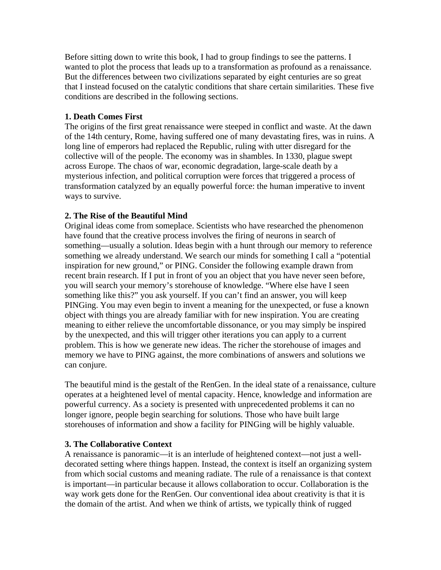Before sitting down to write this book, I had to group findings to see the patterns. I wanted to plot the process that leads up to a transformation as profound as a renaissance. But the differences between two civilizations separated by eight centuries are so great that I instead focused on the catalytic conditions that share certain similarities. These five conditions are described in the following sections.

# **1. Death Comes First**

The origins of the first great renaissance were steeped in conflict and waste. At the dawn of the 14th century, Rome, having suffered one of many devastating fires, was in ruins. A long line of emperors had replaced the Republic, ruling with utter disregard for the collective will of the people. The economy was in shambles. In 1330, plague swept across Europe. The chaos of war, economic degradation, large-scale death by a mysterious infection, and political corruption were forces that triggered a process of transformation catalyzed by an equally powerful force: the human imperative to invent ways to survive.

## **2. The Rise of the Beautiful Mind**

Original ideas come from someplace. Scientists who have researched the phenomenon have found that the creative process involves the firing of neurons in search of something—usually a solution. Ideas begin with a hunt through our memory to reference something we already understand. We search our minds for something I call a "potential inspiration for new ground," or PING. Consider the following example drawn from recent brain research. If I put in front of you an object that you have never seen before, you will search your memory's storehouse of knowledge. "Where else have I seen something like this?" you ask yourself. If you can't find an answer, you will keep PINGing. You may even begin to invent a meaning for the unexpected, or fuse a known object with things you are already familiar with for new inspiration. You are creating meaning to either relieve the uncomfortable dissonance, or you may simply be inspired by the unexpected, and this will trigger other iterations you can apply to a current problem. This is how we generate new ideas. The richer the storehouse of images and memory we have to PING against, the more combinations of answers and solutions we can conjure.

The beautiful mind is the gestalt of the RenGen. In the ideal state of a renaissance, culture operates at a heightened level of mental capacity. Hence, knowledge and information are powerful currency. As a society is presented with unprecedented problems it can no longer ignore, people begin searching for solutions. Those who have built large storehouses of information and show a facility for PINGing will be highly valuable.

### **3. The Collaborative Context**

A renaissance is panoramic—it is an interlude of heightened context—not just a welldecorated setting where things happen. Instead, the context is itself an organizing system from which social customs and meaning radiate. The rule of a renaissance is that context is important—in particular because it allows collaboration to occur. Collaboration is the way work gets done for the RenGen. Our conventional idea about creativity is that it is the domain of the artist. And when we think of artists, we typically think of rugged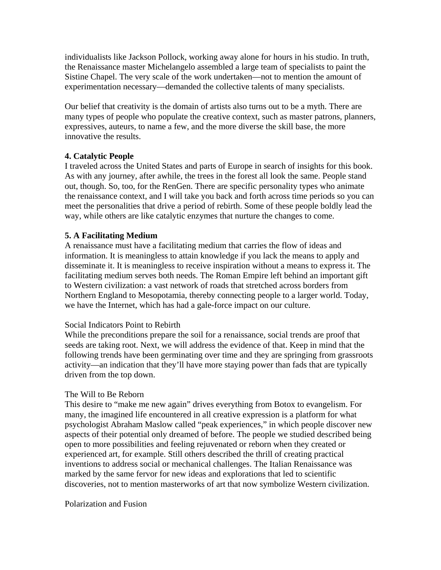individualists like Jackson Pollock, working away alone for hours in his studio. In truth, the Renaissance master Michelangelo assembled a large team of specialists to paint the Sistine Chapel. The very scale of the work undertaken—not to mention the amount of experimentation necessary—demanded the collective talents of many specialists.

Our belief that creativity is the domain of artists also turns out to be a myth. There are many types of people who populate the creative context, such as master patrons, planners, expressives, auteurs, to name a few, and the more diverse the skill base, the more innovative the results.

## **4. Catalytic People**

I traveled across the United States and parts of Europe in search of insights for this book. As with any journey, after awhile, the trees in the forest all look the same. People stand out, though. So, too, for the RenGen. There are specific personality types who animate the renaissance context, and I will take you back and forth across time periods so you can meet the personalities that drive a period of rebirth. Some of these people boldly lead the way, while others are like catalytic enzymes that nurture the changes to come.

## **5. A Facilitating Medium**

A renaissance must have a facilitating medium that carries the flow of ideas and information. It is meaningless to attain knowledge if you lack the means to apply and disseminate it. It is meaningless to receive inspiration without a means to express it. The facilitating medium serves both needs. The Roman Empire left behind an important gift to Western civilization: a vast network of roads that stretched across borders from Northern England to Mesopotamia, thereby connecting people to a larger world. Today, we have the Internet, which has had a gale-force impact on our culture.

### Social Indicators Point to Rebirth

While the preconditions prepare the soil for a renaissance, social trends are proof that seeds are taking root. Next, we will address the evidence of that. Keep in mind that the following trends have been germinating over time and they are springing from grassroots activity—an indication that they'll have more staying power than fads that are typically driven from the top down.

### The Will to Be Reborn

This desire to "make me new again" drives everything from Botox to evangelism. For many, the imagined life encountered in all creative expression is a platform for what psychologist Abraham Maslow called "peak experiences," in which people discover new aspects of their potential only dreamed of before. The people we studied described being open to more possibilities and feeling rejuvenated or reborn when they created or experienced art, for example. Still others described the thrill of creating practical inventions to address social or mechanical challenges. The Italian Renaissance was marked by the same fervor for new ideas and explorations that led to scientific discoveries, not to mention masterworks of art that now symbolize Western civilization.

### Polarization and Fusion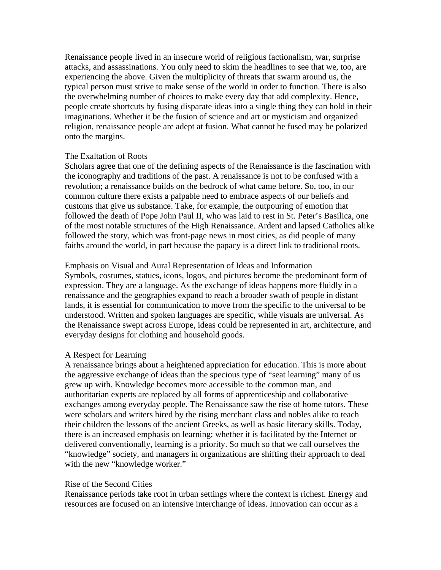Renaissance people lived in an insecure world of religious factionalism, war, surprise attacks, and assassinations. You only need to skim the headlines to see that we, too, are experiencing the above. Given the multiplicity of threats that swarm around us, the typical person must strive to make sense of the world in order to function. There is also the overwhelming number of choices to make every day that add complexity. Hence, people create shortcuts by fusing disparate ideas into a single thing they can hold in their imaginations. Whether it be the fusion of science and art or mysticism and organized religion, renaissance people are adept at fusion. What cannot be fused may be polarized onto the margins.

#### The Exaltation of Roots

Scholars agree that one of the defining aspects of the Renaissance is the fascination with the iconography and traditions of the past. A renaissance is not to be confused with a revolution; a renaissance builds on the bedrock of what came before. So, too, in our common culture there exists a palpable need to embrace aspects of our beliefs and customs that give us substance. Take, for example, the outpouring of emotion that followed the death of Pope John Paul II, who was laid to rest in St. Peter's Basilica, one of the most notable structures of the High Renaissance. Ardent and lapsed Catholics alike followed the story, which was front-page news in most cities, as did people of many faiths around the world, in part because the papacy is a direct link to traditional roots.

#### Emphasis on Visual and Aural Representation of Ideas and Information

Symbols, costumes, statues, icons, logos, and pictures become the predominant form of expression. They are a language. As the exchange of ideas happens more fluidly in a renaissance and the geographies expand to reach a broader swath of people in distant lands, it is essential for communication to move from the specific to the universal to be understood. Written and spoken languages are specific, while visuals are universal. As the Renaissance swept across Europe, ideas could be represented in art, architecture, and everyday designs for clothing and household goods.

### A Respect for Learning

A renaissance brings about a heightened appreciation for education. This is more about the aggressive exchange of ideas than the specious type of "seat learning" many of us grew up with. Knowledge becomes more accessible to the common man, and authoritarian experts are replaced by all forms of apprenticeship and collaborative exchanges among everyday people. The Renaissance saw the rise of home tutors. These were scholars and writers hired by the rising merchant class and nobles alike to teach their children the lessons of the ancient Greeks, as well as basic literacy skills. Today, there is an increased emphasis on learning; whether it is facilitated by the Internet or delivered conventionally, learning is a priority. So much so that we call ourselves the "knowledge" society, and managers in organizations are shifting their approach to deal with the new "knowledge worker."

#### Rise of the Second Cities

Renaissance periods take root in urban settings where the context is richest. Energy and resources are focused on an intensive interchange of ideas. Innovation can occur as a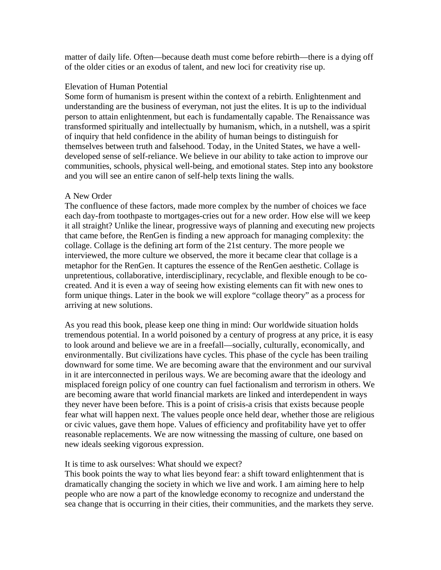matter of daily life. Often—because death must come before rebirth—there is a dying off of the older cities or an exodus of talent, and new loci for creativity rise up.

### Elevation of Human Potential

Some form of humanism is present within the context of a rebirth. Enlightenment and understanding are the business of everyman, not just the elites. It is up to the individual person to attain enlightenment, but each is fundamentally capable. The Renaissance was transformed spiritually and intellectually by humanism, which, in a nutshell, was a spirit of inquiry that held confidence in the ability of human beings to distinguish for themselves between truth and falsehood. Today, in the United States, we have a welldeveloped sense of self-reliance. We believe in our ability to take action to improve our communities, schools, physical well-being, and emotional states. Step into any bookstore and you will see an entire canon of self-help texts lining the walls.

### A New Order

The confluence of these factors, made more complex by the number of choices we face each day-from toothpaste to mortgages-cries out for a new order. How else will we keep it all straight? Unlike the linear, progressive ways of planning and executing new projects that came before, the RenGen is finding a new approach for managing complexity: the collage. Collage is the defining art form of the 21st century. The more people we interviewed, the more culture we observed, the more it became clear that collage is a metaphor for the RenGen. It captures the essence of the RenGen aesthetic. Collage is unpretentious, collaborative, interdisciplinary, recyclable, and flexible enough to be cocreated. And it is even a way of seeing how existing elements can fit with new ones to form unique things. Later in the book we will explore "collage theory" as a process for arriving at new solutions.

As you read this book, please keep one thing in mind: Our worldwide situation holds tremendous potential. In a world poisoned by a century of progress at any price, it is easy to look around and believe we are in a freefall—socially, culturally, economically, and environmentally. But civilizations have cycles. This phase of the cycle has been trailing downward for some time. We are becoming aware that the environment and our survival in it are interconnected in perilous ways. We are becoming aware that the ideology and misplaced foreign policy of one country can fuel factionalism and terrorism in others. We are becoming aware that world financial markets are linked and interdependent in ways they never have been before. This is a point of crisis-a crisis that exists because people fear what will happen next. The values people once held dear, whether those are religious or civic values, gave them hope. Values of efficiency and profitability have yet to offer reasonable replacements. We are now witnessing the massing of culture, one based on new ideals seeking vigorous expression.

### It is time to ask ourselves: What should we expect?

This book points the way to what lies beyond fear: a shift toward enlightenment that is dramatically changing the society in which we live and work. I am aiming here to help people who are now a part of the knowledge economy to recognize and understand the sea change that is occurring in their cities, their communities, and the markets they serve.